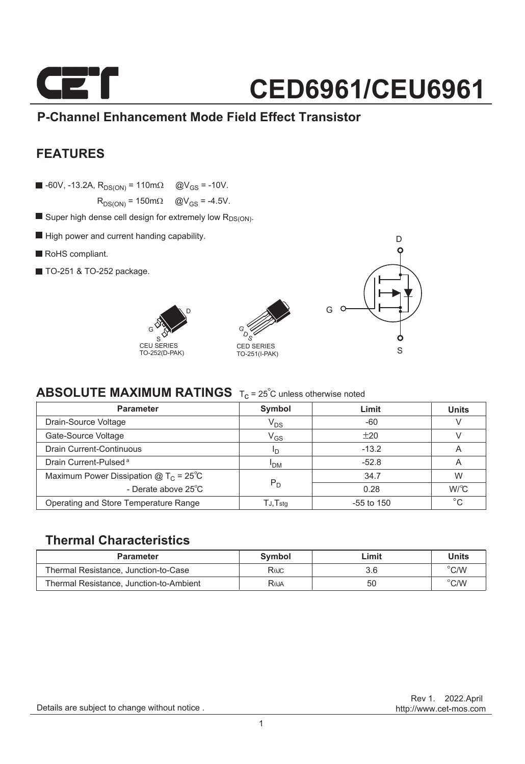

### **P-Channel Enhancement Mode Field Effect Transistor**

### **FEATURES**

 $\blacksquare$  -60V, -13.2A,  $R_{DS(ON)} = 110 \text{m}\Omega$  @V<sub>GS</sub> = -10V.

 $R_{DS(ON)} = 150 \text{m}\Omega$   $\textcircled{Q}V_{GS} = -4.5V$ .

- $\blacksquare$  Super high dense cell design for extremely low  $R_{DS(ON)}$ .
- $\blacksquare$  High power and current handing capability.
- RoHS compliant.
- TO-251 & TO-252 package.







### **ABSOLUTE MAXIMUM RATINGS** T<sub>c</sub> = 25<sup>°</sup>C unless otherwise noted

| <b>Parameter</b>                                | Symbol                | Limit        | <b>Units</b> |
|-------------------------------------------------|-----------------------|--------------|--------------|
| Drain-Source Voltage                            | $V_{DS}$              | $-60$        |              |
| Gate-Source Voltage                             | $\rm V_{GS}$          | ±20          |              |
| <b>Drain Current-Continuous</b>                 | חי                    | $-13.2$      | A            |
| Drain Current-Pulsed <sup>a</sup>               | <b>I<sub>DM</sub></b> | $-52.8$      | A            |
| Maximum Power Dissipation @ $T_c = 25^{\circ}C$ |                       | 34.7         | W            |
| - Derate above 25°C                             | $P_D$                 | 0.28         | W/C          |
| Operating and Store Temperature Range           | TJ,Tstq               | $-55$ to 150 | $^{\circ}C$  |

### **Thermal Characteristics**

| <b>Parameter</b>                        | Symbol                   | _imit | Units          |
|-----------------------------------------|--------------------------|-------|----------------|
| Thermal Resistance, Junction-to-Case    | Rajc                     | 3.6   | $\degree$ C/W  |
| Thermal Resistance, Junction-to-Ambient | <b>R</b> <sub>b</sub> JA | 50    | $^{\circ}$ C/W |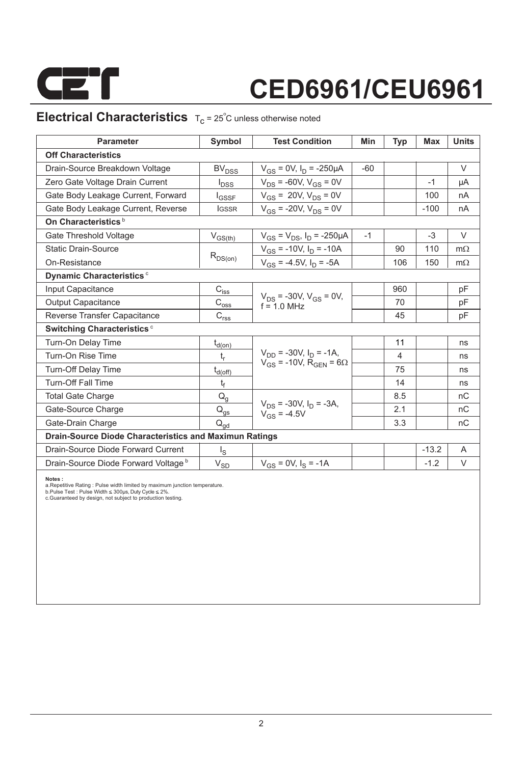

### **Electrical Characteristics**  $T_c = 25^\circ C$  unless otherwise noted

| <b>Parameter</b>                                              | Symbol                                                                | <b>Test Condition</b>                                                           | Min   | Typ | <b>Max</b> | <b>Units</b> |  |  |  |  |
|---------------------------------------------------------------|-----------------------------------------------------------------------|---------------------------------------------------------------------------------|-------|-----|------------|--------------|--|--|--|--|
| <b>Off Characteristics</b>                                    |                                                                       |                                                                                 |       |     |            |              |  |  |  |  |
| Drain-Source Breakdown Voltage                                | BV <sub>DSS</sub>                                                     | $V_{GS}$ = 0V, $I_D$ = -250µA                                                   | $-60$ |     |            | $\vee$       |  |  |  |  |
| Zero Gate Voltage Drain Current                               | <b>I</b> <sub>DSS</sub>                                               | $V_{DS}$ = -60V, $V_{GS}$ = 0V                                                  |       |     | $-1$       | μA           |  |  |  |  |
| Gate Body Leakage Current, Forward                            | <b>I</b> GSSF                                                         | $V_{GS}$ = 20V, $V_{DS}$ = 0V                                                   |       |     | 100        | nA           |  |  |  |  |
| Gate Body Leakage Current, Reverse                            | <b>IGSSR</b>                                                          | $V_{GS}$ = -20V, $V_{DS}$ = 0V                                                  |       |     | $-100$     | nA           |  |  |  |  |
| On Characteristics <sup>b</sup>                               |                                                                       |                                                                                 |       |     |            |              |  |  |  |  |
| Gate Threshold Voltage                                        | $V_{GS(th)}$                                                          | $V_{GS} = V_{DS}$ , $I_D = -250 \mu A$                                          | $-1$  |     | $-3$       | V            |  |  |  |  |
| <b>Static Drain-Source</b>                                    |                                                                       | $V_{GS}$ = -10V, $I_D$ = -10A                                                   |       | 90  | 110        | $m\Omega$    |  |  |  |  |
| On-Resistance                                                 | $R_{DS(on)}$                                                          | $V_{GS}$ = -4.5V, $I_D$ = -5A                                                   |       | 106 | 150        | $m\Omega$    |  |  |  |  |
| Dynamic Characteristics <sup>c</sup>                          |                                                                       |                                                                                 |       |     |            |              |  |  |  |  |
| Input Capacitance                                             | $C_{\text{iss}}$                                                      |                                                                                 |       | 960 |            | pF           |  |  |  |  |
| <b>Output Capacitance</b>                                     | $\text{C}_{\text{oss}}$                                               | $V_{DS}$ = -30V, $V_{GS}$ = 0V,<br>$f = 10$ MHz                                 |       | 70  |            | pF           |  |  |  |  |
| Reverse Transfer Capacitance                                  | $\mathsf{C}_{\mathsf{r}\underline{\mathsf{s}}\underline{\mathsf{s}}}$ |                                                                                 |       | 45  |            | pF           |  |  |  |  |
| <b>Switching Characteristics c</b>                            |                                                                       |                                                                                 |       |     |            |              |  |  |  |  |
| Turn-On Delay Time                                            | $t_{d(on)}$                                                           |                                                                                 |       | 11  |            | ns           |  |  |  |  |
| Turn-On Rise Time                                             | $t_r$                                                                 | $V_{DD}$ = -30V, $I_D$ = -1A,<br>$V_{GS}$ = -10V, R <sub>GEN</sub> = 6 $\Omega$ |       | 4   |            | ns           |  |  |  |  |
| Turn-Off Delay Time                                           | $t_{d(off)}$                                                          |                                                                                 |       | 75  |            | ns           |  |  |  |  |
| <b>Turn-Off Fall Time</b>                                     | t <sub>f</sub>                                                        |                                                                                 |       | 14  |            | ns           |  |  |  |  |
| <b>Total Gate Charge</b>                                      | $Q_q$                                                                 |                                                                                 |       | 8.5 |            | nC           |  |  |  |  |
| Gate-Source Charge                                            | $\mathsf{Q}_{\underline{\mathsf{gs}}}$                                | $V_{DS}$ = -30V, $I_D$ = -3A,<br>$V_{GS} = -4.5V$                               |       | 2.1 |            | nC           |  |  |  |  |
| Gate-Drain Charge                                             | $\mathsf{Q}_{\mathsf{qd}}$                                            |                                                                                 |       | 3.3 |            | nC           |  |  |  |  |
| <b>Drain-Source Diode Characteristics and Maximun Ratings</b> |                                                                       |                                                                                 |       |     |            |              |  |  |  |  |
| Drain-Source Diode Forward Current                            | ءِا                                                                   |                                                                                 |       |     | $-13.2$    | A            |  |  |  |  |
| Drain-Source Diode Forward Voltage b                          | $V_{SD}$                                                              | $V_{GS} = 0V$ , $I_S = -1A$                                                     |       |     | $-1.2$     | V            |  |  |  |  |

**Notes :**<br>a.Repetitive Rating : Pulse width limited by maximum junction temperature.<br>b.Pulse Test : Pulse Width ≤ 300µs, Duty Cycle ≤ 2%.<br>c.Guaranteed by design, not subject to production testing.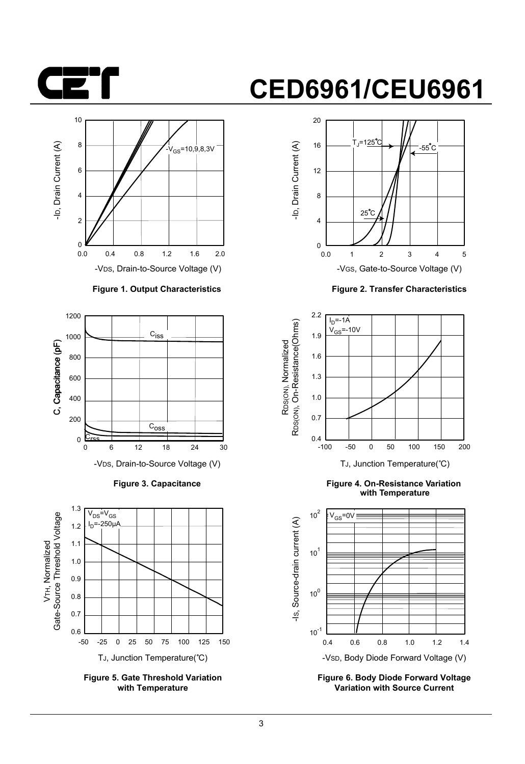



#### **Figure 1. Output Characteristics**



**Figure 3. Capacitance**



**Figure 5. Gate Threshold Variation with Temperature**

## **CED6961/CEU6961**



**Figure 2. Transfer Characteristics**



**Figure 4. On-Resistance Variation with Temperature**



**Figure 6. Body Diode Forward Voltage Variation with Source Current**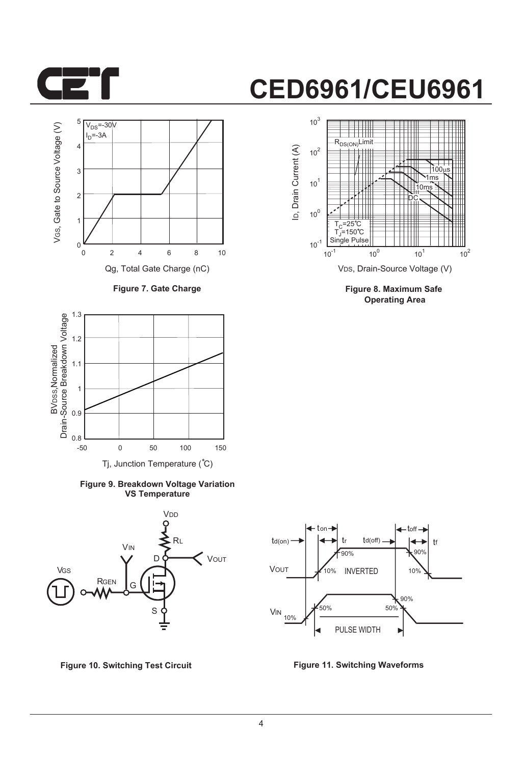



**Figure 7. Gate Charge**



**Figure 9. Breakdown Voltage Variation VS Temperature**





**Figure 8. Maximum Safe Operating Area**



**Figure 10. Switching Test Circuit Figure 11. Switching Waveforms**